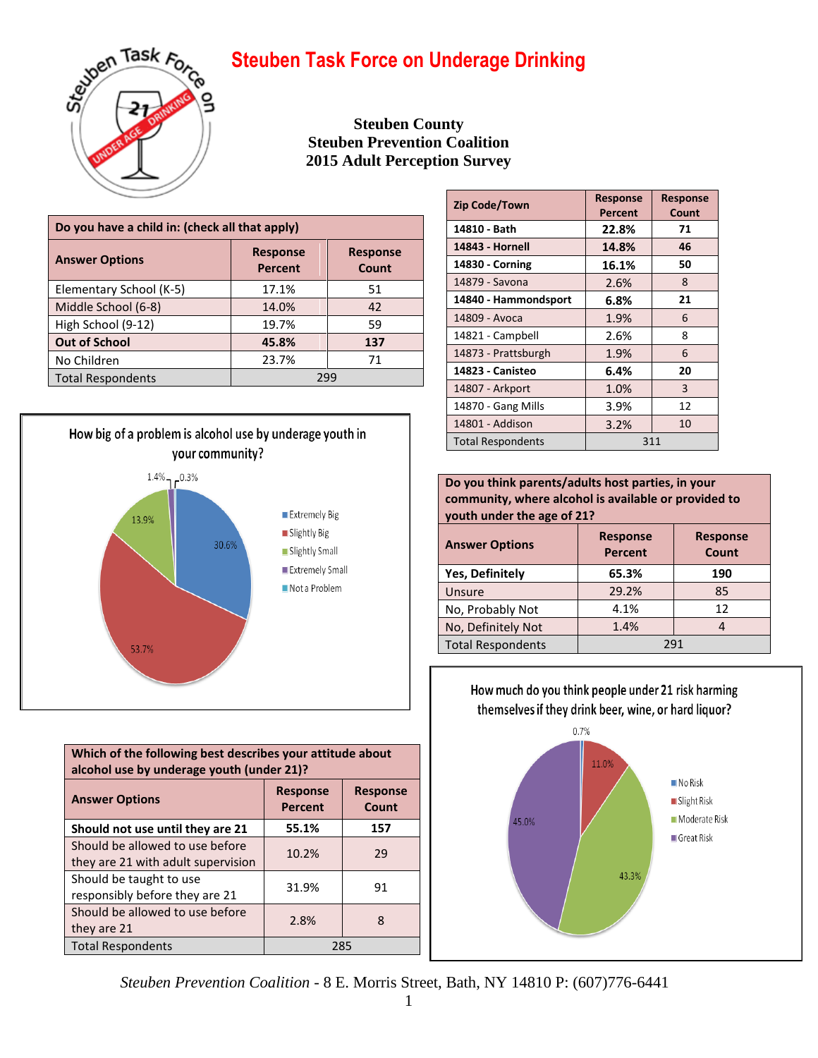

**Steuben County Steuben Prevention Coalition 2015 Adult Perception Survey**

| Do you have a child in: (check all that apply) |                                   |                          |
|------------------------------------------------|-----------------------------------|--------------------------|
| <b>Answer Options</b>                          | <b>Response</b><br><b>Percent</b> | <b>Response</b><br>Count |
| Elementary School (K-5)                        | 17.1%                             | 51                       |
| Middle School (6-8)                            | 14.0%                             | 42                       |
| High School (9-12)                             | 19.7%                             | 59                       |
| <b>Out of School</b>                           | 45.8%                             | 137                      |
| No Children                                    | 23.7%                             | 71                       |
| <b>Total Respondents</b>                       | 299                               |                          |



| Which of the following best describes your attitude about<br>alcohol use by underage youth (under 21)? |                                   |                          |
|--------------------------------------------------------------------------------------------------------|-----------------------------------|--------------------------|
| <b>Answer Options</b>                                                                                  | <b>Response</b><br><b>Percent</b> | <b>Response</b><br>Count |
| Should not use until they are 21                                                                       | 55.1%                             | 157                      |
| Should be allowed to use before<br>they are 21 with adult supervision                                  | 10.2%                             | 29                       |
| Should be taught to use<br>responsibly before they are 21                                              | 31.9%                             | 91                       |
| Should be allowed to use before<br>they are 21                                                         | 2.8%                              | 8                        |
| <b>Total Respondents</b><br>285                                                                        |                                   |                          |

| <b>Zip Code/Town</b>     | <b>Response</b> | <b>Response</b> |
|--------------------------|-----------------|-----------------|
|                          | Percent         | Count           |
| 14810 - Bath             | 22.8%           | 71              |
| 14843 - Hornell          | 14.8%           | 46              |
| 14830 - Corning          | 16.1%           | 50              |
| 14879 - Savona           | 2.6%            | 8               |
| 14840 - Hammondsport     | 6.8%            | 21              |
| 14809 - Avoca            | 1.9%            | 6               |
| 14821 - Campbell         | 2.6%            | 8               |
| 14873 - Prattsburgh      | 1.9%            | 6               |
| 14823 - Canisteo         | 6.4%            | 20              |
| 14807 - Arkport          | 1.0%            | 3               |
| 14870 - Gang Mills       | 3.9%            | 12              |
| 14801 - Addison          | 3.2%            | 10              |
| <b>Total Respondents</b> | 311             |                 |

**Do you think parents/adults host parties, in your community, where alcohol is available or provided to youth under the age of 21?**

| <b>Answer Options</b>    | <b>Response</b><br><b>Response</b><br><b>Percent</b><br>Count |     |
|--------------------------|---------------------------------------------------------------|-----|
| <b>Yes, Definitely</b>   | 65.3%                                                         | 190 |
| Unsure                   | 29.2%                                                         | 85  |
| No, Probably Not         | 4.1%                                                          | 12  |
| No, Definitely Not       | 1.4%                                                          |     |
| <b>Total Respondents</b> | 291                                                           |     |

How much do you think people under 21 risk harming themselves if they drink beer, wine, or hard liquor?



*Steuben Prevention Coalition* - 8 E. Morris Street, Bath, NY 14810 P: (607)776-6441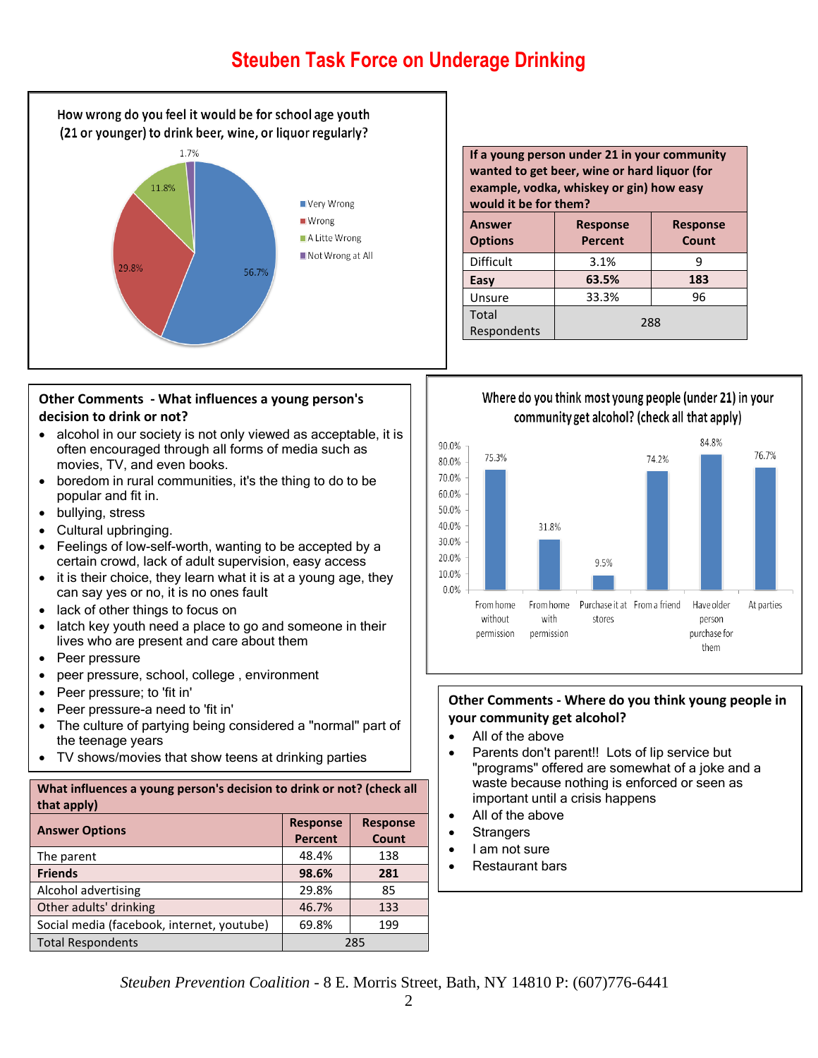

#### **Other Comments - What influences a young person's decision to drink or not?**

- alcohol in our society is not only viewed as acceptable, it is often encouraged through all forms of media such as movies, TV, and even books.
- boredom in rural communities, it's the thing to do to be popular and fit in.
- bullying, stress
- Cultural upbringing.
- Feelings of low-self-worth, wanting to be accepted by a certain crowd, lack of adult supervision, easy access
- it is their choice, they learn what it is at a young age, they can say yes or no, it is no ones fault
- lack of other things to focus on
- latch key youth need a place to go and someone in their lives who are present and care about them
- Peer pressure
- peer pressure, school, college , environment
- Peer pressure; to 'fit in'
- Peer pressure-a need to 'fit in'
- The culture of partying being considered a "normal" part of the teenage years
- TV shows/movies that show teens at drinking parties

#### **What influences a young person's decision to drink or not? (check all that apply)**

| <b>Answer Options</b>                      | <b>Response</b><br><b>Percent</b> | <b>Response</b><br>Count |
|--------------------------------------------|-----------------------------------|--------------------------|
| The parent                                 | 48.4%                             | 138                      |
| <b>Friends</b>                             | 98.6%                             | 281                      |
| Alcohol advertising                        | 29.8%                             | 85                       |
| Other adults' drinking                     | 46.7%                             | 133                      |
| Social media (facebook, internet, youtube) | 69.8%                             | 199                      |
| <b>Total Respondents</b>                   | 285                               |                          |

| If a young person under 21 in your community<br>wanted to get beer, wine or hard liquor (for<br>example, vodka, whiskey or gin) how easy<br>would it be for them? |                                   |                          |
|-------------------------------------------------------------------------------------------------------------------------------------------------------------------|-----------------------------------|--------------------------|
| <b>Answer</b><br><b>Options</b>                                                                                                                                   | <b>Response</b><br><b>Percent</b> | <b>Response</b><br>Count |
| <b>Difficult</b>                                                                                                                                                  | 3.1%<br>9                         |                          |
| Easy                                                                                                                                                              | 63.5%                             | 183                      |
| Unsure                                                                                                                                                            | 33.3%                             | 96                       |
| Total<br>Respondents                                                                                                                                              | 288                               |                          |

### Where do you think most young people (under 21) in your community get alcohol? (check all that apply)



#### **Other Comments - Where do you think young people in your community get alcohol?**

- All of the above
- Parents don't parent!! Lots of lip service but "programs" offered are somewhat of a joke and a waste because nothing is enforced or seen as important until a crisis happens
- All of the above
- **Strangers**
- I am not sure
- Restaurant bars

*Steuben Prevention Coalition* - 8 E. Morris Street, Bath, NY 14810 P: (607)776-6441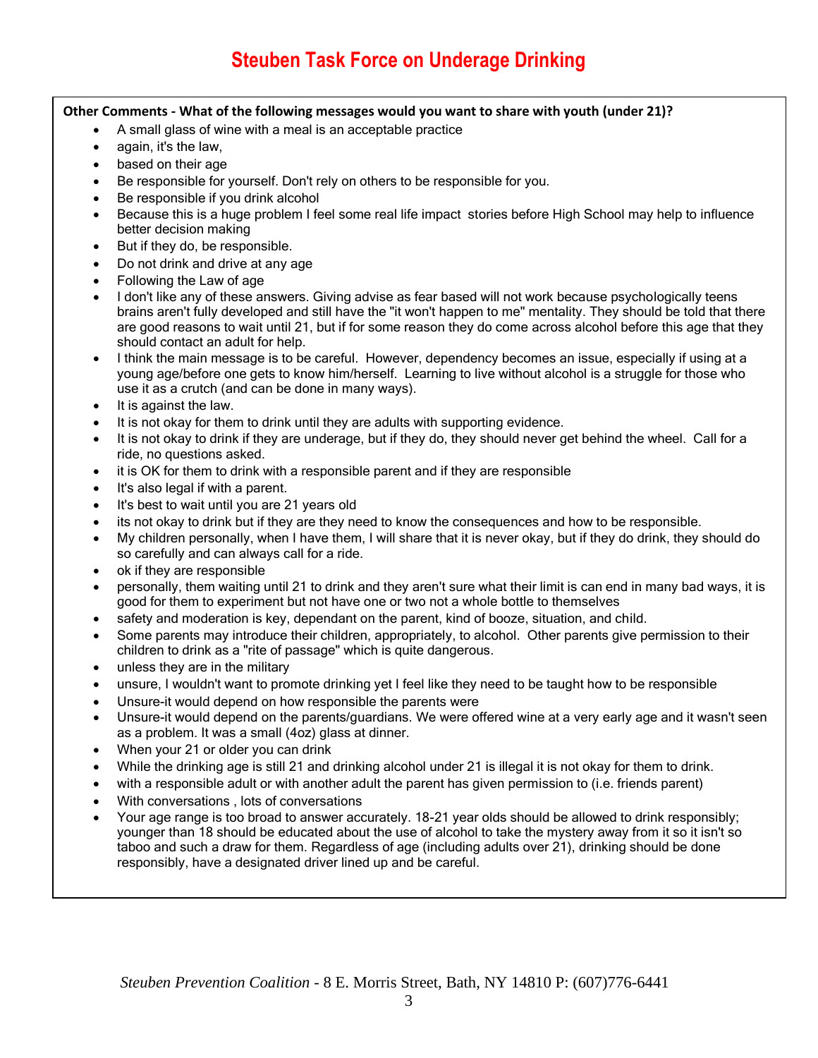#### **Other Comments - What of the following messages would you want to share with youth (under 21)?**

- A small glass of wine with a meal is an acceptable practice
- again, it's the law,
- based on their age
- Be responsible for yourself. Don't rely on others to be responsible for you.
- Be responsible if you drink alcohol
- Because this is a huge problem I feel some real life impact stories before High School may help to influence better decision making
- But if they do, be responsible.
- Do not drink and drive at any age
- Following the Law of age
- I don't like any of these answers. Giving advise as fear based will not work because psychologically teens brains aren't fully developed and still have the "it won't happen to me" mentality. They should be told that there are good reasons to wait until 21, but if for some reason they do come across alcohol before this age that they should contact an adult for help.
- I think the main message is to be careful. However, dependency becomes an issue, especially if using at a young age/before one gets to know him/herself. Learning to live without alcohol is a struggle for those who use it as a crutch (and can be done in many ways).
- It is against the law.
- It is not okay for them to drink until they are adults with supporting evidence.
- It is not okay to drink if they are underage, but if they do, they should never get behind the wheel. Call for a ride, no questions asked.
- it is OK for them to drink with a responsible parent and if they are responsible
- It's also legal if with a parent.
- It's best to wait until you are 21 years old
- its not okay to drink but if they are they need to know the consequences and how to be responsible.
- My children personally, when I have them, I will share that it is never okay, but if they do drink, they should do so carefully and can always call for a ride.
- ok if they are responsible
- personally, them waiting until 21 to drink and they aren't sure what their limit is can end in many bad ways, it is good for them to experiment but not have one or two not a whole bottle to themselves
- safety and moderation is key, dependant on the parent, kind of booze, situation, and child.
- Some parents may introduce their children, appropriately, to alcohol. Other parents give permission to their children to drink as a "rite of passage" which is quite dangerous.
- unless they are in the military
- unsure, I wouldn't want to promote drinking yet I feel like they need to be taught how to be responsible
- Unsure-it would depend on how responsible the parents were
- Unsure-it would depend on the parents/guardians. We were offered wine at a very early age and it wasn't seen as a problem. It was a small (4oz) glass at dinner.
- When your 21 or older you can drink
- While the drinking age is still 21 and drinking alcohol under 21 is illegal it is not okay for them to drink.
- with a responsible adult or with another adult the parent has given permission to (i.e. friends parent)
- With conversations , lots of conversations
- Your age range is too broad to answer accurately. 18-21 year olds should be allowed to drink responsibly; younger than 18 should be educated about the use of alcohol to take the mystery away from it so it isn't so taboo and such a draw for them. Regardless of age (including adults over 21), drinking should be done responsibly, have a designated driver lined up and be careful.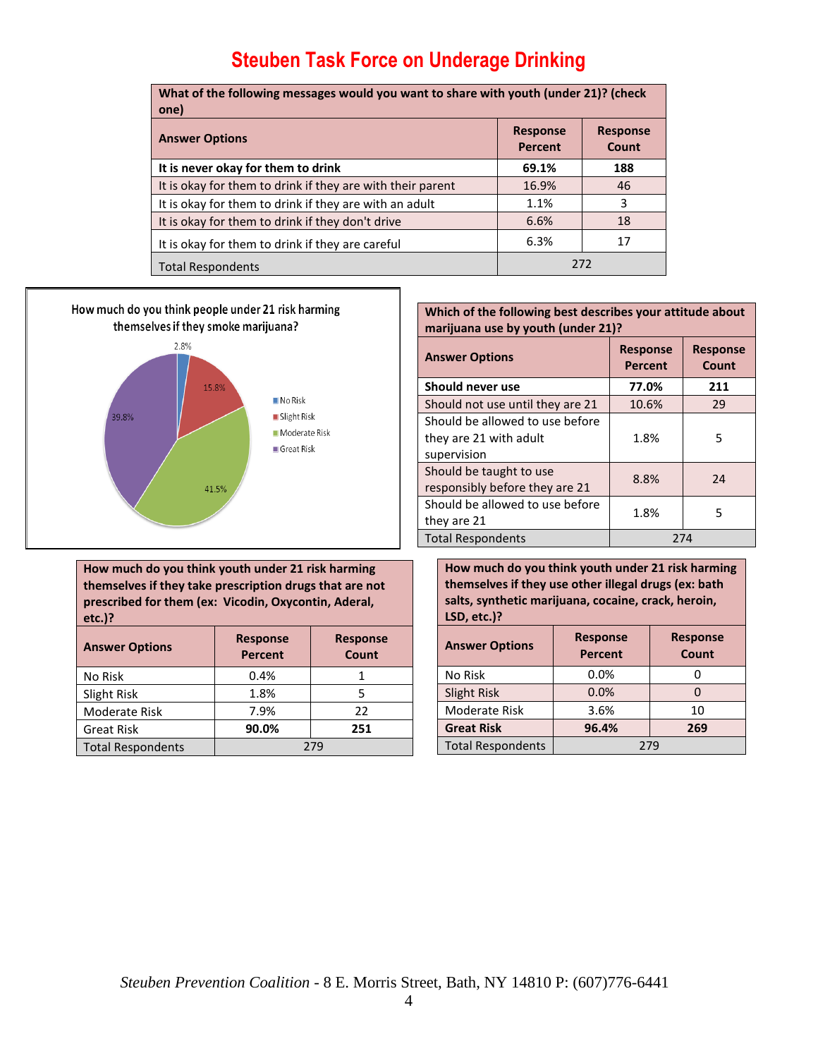| What of the following messages would you want to share with youth (under 21)? (check<br>one) |                            |                          |
|----------------------------------------------------------------------------------------------|----------------------------|--------------------------|
| <b>Answer Options</b>                                                                        | <b>Response</b><br>Percent | <b>Response</b><br>Count |
| It is never okay for them to drink                                                           | 69.1%                      | 188                      |
| It is okay for them to drink if they are with their parent                                   | 16.9%                      | 46                       |
| It is okay for them to drink if they are with an adult                                       | 1.1%                       | 3                        |
| It is okay for them to drink if they don't drive                                             | 6.6%                       | 18                       |
| It is okay for them to drink if they are careful                                             | 6.3%                       | 17                       |
| <b>Total Respondents</b>                                                                     | 272                        |                          |



**Which of the following best describes your attitude about marijuana use by youth (under 21)?**

| <b>Answer Options</b>                                                    | <b>Response</b><br><b>Percent</b> | <b>Response</b><br>Count |
|--------------------------------------------------------------------------|-----------------------------------|--------------------------|
| Should never use                                                         | 77.0%                             | 211                      |
| Should not use until they are 21                                         | 10.6%                             | 29                       |
| Should be allowed to use before<br>they are 21 with adult<br>supervision | 1.8%                              | 5                        |
| Should be taught to use<br>responsibly before they are 21                | 8.8%                              | 24                       |
| Should be allowed to use before<br>they are 21                           | 1.8%                              | 5                        |
| <b>Total Respondents</b>                                                 | 274                               |                          |

**How much do you think youth under 21 risk harming themselves if they take prescription drugs that are not prescribed for them (ex: Vicodin, Oxycontin, Aderal, etc.)?**

| <b>Answer Options</b>    | <b>Response</b><br><b>Response</b><br><b>Percent</b><br>Count |     |
|--------------------------|---------------------------------------------------------------|-----|
| No Risk                  | 0.4%                                                          |     |
| Slight Risk              | 1.8%                                                          |     |
| Moderate Risk            | 7.9%                                                          | 22  |
| <b>Great Risk</b>        | 90.0%                                                         | 251 |
| <b>Total Respondents</b> | 279                                                           |     |

**How much do you think youth under 21 risk harming themselves if they use other illegal drugs (ex: bath salts, synthetic marijuana, cocaine, crack, heroin, LSD, etc.)?**

| <b>Answer Options</b>    | <b>Response</b><br><b>Percent</b> | <b>Response</b><br>Count |
|--------------------------|-----------------------------------|--------------------------|
| No Risk                  | 0.0%                              |                          |
| <b>Slight Risk</b>       | 0.0%                              |                          |
| Moderate Risk            | 3.6%                              | 10                       |
| <b>Great Risk</b>        | 96.4%                             | 269                      |
| <b>Total Respondents</b> | 279                               |                          |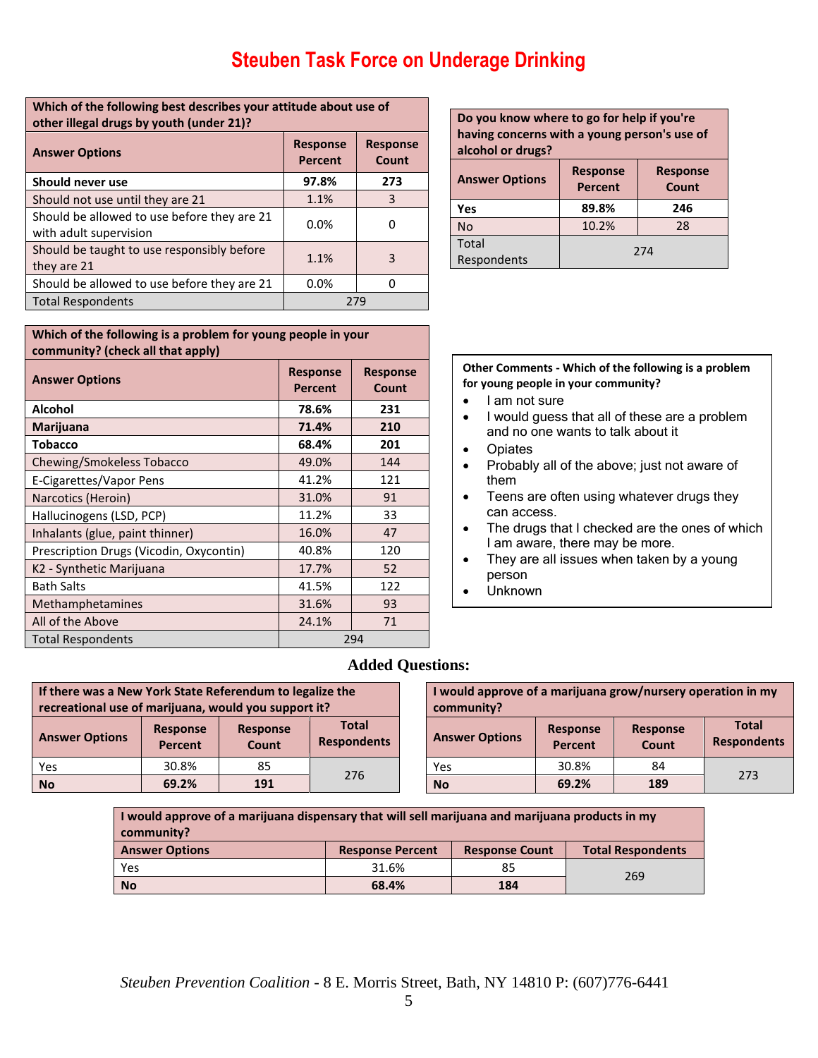| Which of the following best describes your attitude about use of<br>other illegal drugs by youth (under 21)? |                            |                          |
|--------------------------------------------------------------------------------------------------------------|----------------------------|--------------------------|
| <b>Answer Options</b>                                                                                        | <b>Response</b><br>Percent | <b>Response</b><br>Count |
| Should never use                                                                                             | 97.8%                      | 273                      |
| Should not use until they are 21                                                                             | 1.1%                       | 3                        |
| Should be allowed to use before they are 21<br>with adult supervision                                        | 0.0%                       | O                        |
| Should be taught to use responsibly before<br>they are 21                                                    | 1.1%                       | 3                        |
| Should be allowed to use before they are 21                                                                  | 0.0%                       | n                        |
| <b>Total Respondents</b>                                                                                     |                            | 279                      |

| Do you know where to go for help if you're<br>having concerns with a young person's use of<br>alcohol or drugs? |                                                               |     |  |
|-----------------------------------------------------------------------------------------------------------------|---------------------------------------------------------------|-----|--|
| <b>Answer Options</b>                                                                                           | <b>Response</b><br><b>Response</b><br>Count<br><b>Percent</b> |     |  |
| Yes                                                                                                             | 89.8%                                                         | 246 |  |
| <b>No</b>                                                                                                       | 10.2%                                                         | 28  |  |
| <b>Total</b><br>Respondents                                                                                     | 274                                                           |     |  |

#### **Which of the following is a problem for young people in your community? (check all that apply)**

| <b>Answer Options</b>                   | <b>Response</b><br><b>Percent</b> | <b>Response</b><br>Count |
|-----------------------------------------|-----------------------------------|--------------------------|
| <b>Alcohol</b>                          | 78.6%                             | 231                      |
| Marijuana                               | 71.4%                             | 210                      |
| <b>Tobacco</b>                          | 68.4%                             | 201                      |
| Chewing/Smokeless Tobacco               | 49.0%                             | 144                      |
| E-Cigarettes/Vapor Pens                 | 41.2%                             | 121                      |
| Narcotics (Heroin)                      | 31.0%                             | 91                       |
| Hallucinogens (LSD, PCP)                | 11.2%                             | 33                       |
| Inhalants (glue, paint thinner)         | 16.0%                             | 47                       |
| Prescription Drugs (Vicodin, Oxycontin) | 40.8%                             | 120                      |
| K2 - Synthetic Marijuana                | 17.7%                             | 52                       |
| <b>Bath Salts</b>                       | 41.5%                             | 122                      |
| Methamphetamines                        | 31.6%                             | 93                       |
| All of the Above                        | 24.1%                             | 71                       |
| <b>Total Respondents</b>                |                                   | 294                      |

#### **Other Comments - Which of the following is a problem for young people in your community?**

- I am not sure
- I would guess that all of these are a problem and no one wants to talk about it
- Opiates
- Probably all of the above; just not aware of them
- Teens are often using whatever drugs they can access.
- The drugs that I checked are the ones of which I am aware, there may be more.
- They are all issues when taken by a young person
- Unknown

### **Added Questions:**

| If there was a New York State Referendum to legalize the<br>recreational use of marijuana, would you support it? |                                   |                          |                                    |  |
|------------------------------------------------------------------------------------------------------------------|-----------------------------------|--------------------------|------------------------------------|--|
| <b>Answer Options</b>                                                                                            | <b>Response</b><br><b>Percent</b> | <b>Response</b><br>Count | <b>Total</b><br><b>Respondents</b> |  |
| Yes                                                                                                              | 30.8%                             | 85                       | 276                                |  |
| <b>No</b>                                                                                                        | 69.2%                             | 191                      |                                    |  |

| I would approve of a marijuana grow/nursery operation in my<br>community? |                                   |                          |                                    |
|---------------------------------------------------------------------------|-----------------------------------|--------------------------|------------------------------------|
| <b>Answer Options</b>                                                     | <b>Response</b><br><b>Percent</b> | <b>Response</b><br>Count | <b>Total</b><br><b>Respondents</b> |
| Yes                                                                       | 30.8%                             | 84                       | 273                                |
| No                                                                        | 69.2%                             | 189                      |                                    |

**I would approve of a marijuana dispensary that will sell marijuana and marijuana products in my community? Answer Options Response Percent Response Count Total Respondents** Yes 31.6% 85 269 **No 68.4% 184**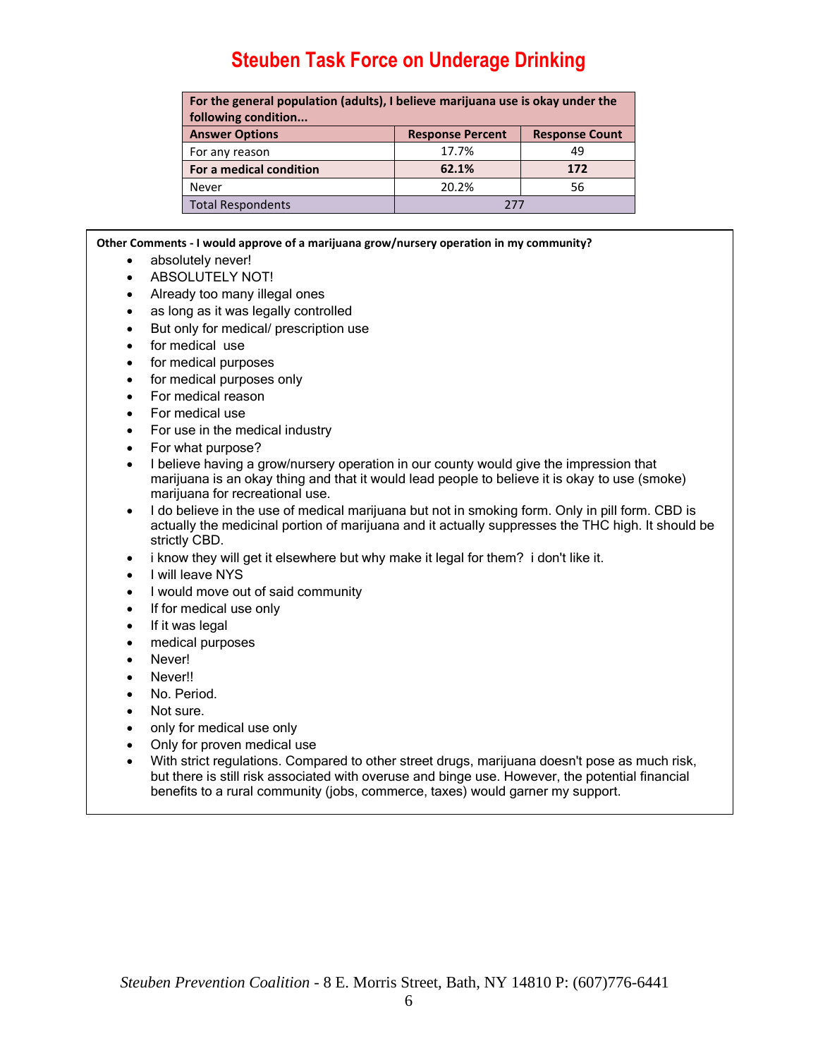| For the general population (adults), I believe marijuana use is okay under the |                         |                       |  |  |
|--------------------------------------------------------------------------------|-------------------------|-----------------------|--|--|
| following condition                                                            |                         |                       |  |  |
| <b>Answer Options</b>                                                          | <b>Response Percent</b> | <b>Response Count</b> |  |  |
| For any reason                                                                 | 17.7%                   | 49                    |  |  |
| For a medical condition                                                        | 62.1%                   | 172                   |  |  |
| Never                                                                          | 20.2%                   | 56                    |  |  |
| <b>Total Respondents</b>                                                       | 777                     |                       |  |  |

#### **Other Comments - I would approve of a marijuana grow/nursery operation in my community?**

- absolutely never!
- **ABSOLUTELY NOT!**
- Already too many illegal ones
- as long as it was legally controlled
- But only for medical/ prescription use
- for medical use
- for medical purposes
- for medical purposes only
- For medical reason
- For medical use
- For use in the medical industry
- For what purpose?
- I believe having a grow/nursery operation in our county would give the impression that marijuana is an okay thing and that it would lead people to believe it is okay to use (smoke) marijuana for recreational use.
- I do believe in the use of medical marijuana but not in smoking form. Only in pill form. CBD is actually the medicinal portion of marijuana and it actually suppresses the THC high. It should be strictly CBD.
- i know they will get it elsewhere but why make it legal for them? i don't like it.
- I will leave NYS
- I would move out of said community
- If for medical use only
- If it was legal
- medical purposes
- Never!
- Never!!
- No. Period.
- Not sure.
- only for medical use only
- Only for proven medical use
- With strict regulations. Compared to other street drugs, marijuana doesn't pose as much risk, but there is still risk associated with overuse and binge use. However, the potential financial benefits to a rural community (jobs, commerce, taxes) would garner my support.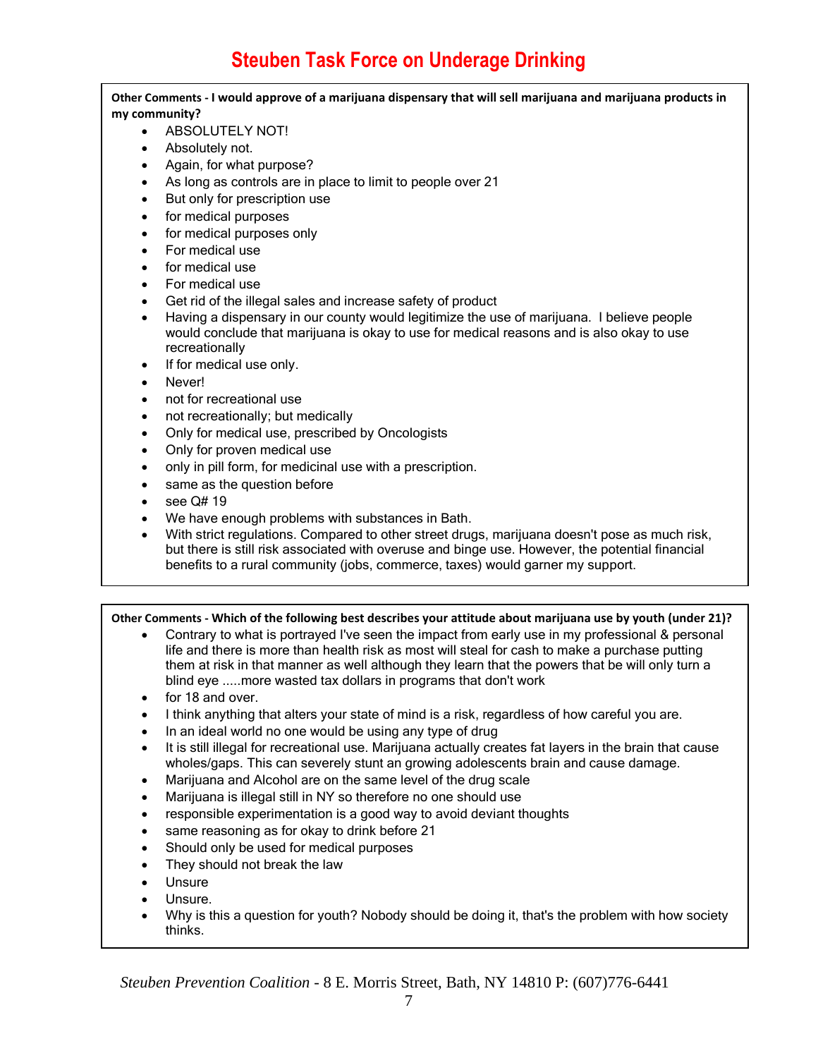**Other Comments - I would approve of a marijuana dispensary that will sell marijuana and marijuana products in my community?**

- ABSOLUTELY NOT!
- Absolutely not.
- Again, for what purpose?
- As long as controls are in place to limit to people over 21
- But only for prescription use
- for medical purposes
- for medical purposes only
- For medical use
- for medical use
- For medical use
- Get rid of the illegal sales and increase safety of product
- Having a dispensary in our county would legitimize the use of marijuana. I believe people would conclude that marijuana is okay to use for medical reasons and is also okay to use recreationally
- If for medical use only.
- Never!
- not for recreational use
- not recreationally; but medically
- Only for medical use, prescribed by Oncologists
- Only for proven medical use
- only in pill form, for medicinal use with a prescription.
- same as the question before
- $\bullet$  see Q# 19
- We have enough problems with substances in Bath.
- With strict regulations. Compared to other street drugs, marijuana doesn't pose as much risk, but there is still risk associated with overuse and binge use. However, the potential financial benefits to a rural community (jobs, commerce, taxes) would garner my support.

**Other Comments - Which of the following best describes your attitude about marijuana use by youth (under 21)?**

- Contrary to what is portrayed I've seen the impact from early use in my professional & personal life and there is more than health risk as most will steal for cash to make a purchase putting them at risk in that manner as well although they learn that the powers that be will only turn a blind eye .....more wasted tax dollars in programs that don't work
- for 18 and over.
- I think anything that alters your state of mind is a risk, regardless of how careful you are.
- In an ideal world no one would be using any type of drug
- It is still illegal for recreational use. Marijuana actually creates fat layers in the brain that cause wholes/gaps. This can severely stunt an growing adolescents brain and cause damage.
- Marijuana and Alcohol are on the same level of the drug scale
- Marijuana is illegal still in NY so therefore no one should use
- responsible experimentation is a good way to avoid deviant thoughts
- same reasoning as for okay to drink before 21
- Should only be used for medical purposes
- They should not break the law
- Unsure
- Unsure.
- Why is this a question for youth? Nobody should be doing it, that's the problem with how society thinks.

*Steuben Prevention Coalition* - 8 E. Morris Street, Bath, NY 14810 P: (607)776-6441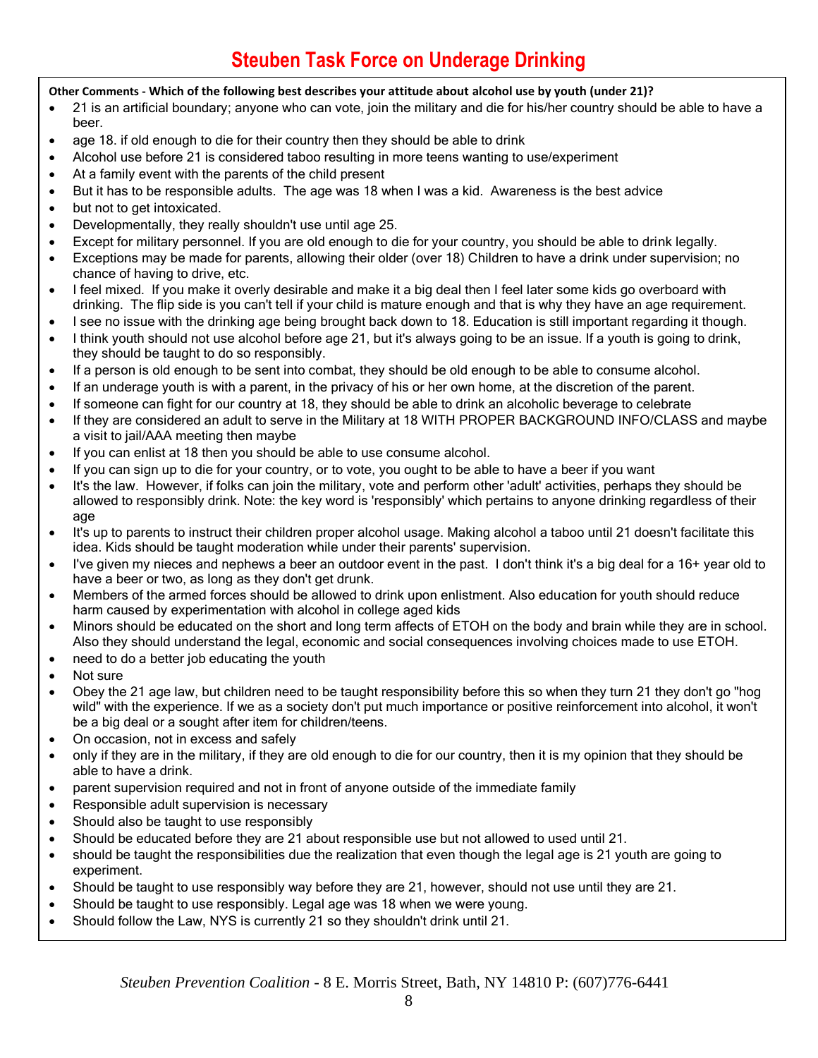#### **Other Comments - Which of the following best describes your attitude about alcohol use by youth (under 21)?**

- 21 is an artificial boundary; anyone who can vote, join the military and die for his/her country should be able to have a beer.
- age 18. if old enough to die for their country then they should be able to drink
- Alcohol use before 21 is considered taboo resulting in more teens wanting to use/experiment
- At a family event with the parents of the child present
- But it has to be responsible adults. The age was 18 when I was a kid. Awareness is the best advice
- but not to get intoxicated.
- Developmentally, they really shouldn't use until age 25.
- Except for military personnel. If you are old enough to die for your country, you should be able to drink legally.
- Exceptions may be made for parents, allowing their older (over 18) Children to have a drink under supervision; no chance of having to drive, etc.
- I feel mixed. If you make it overly desirable and make it a big deal then I feel later some kids go overboard with drinking. The flip side is you can't tell if your child is mature enough and that is why they have an age requirement.
- I see no issue with the drinking age being brought back down to 18. Education is still important regarding it though.
- I think youth should not use alcohol before age 21, but it's always going to be an issue. If a youth is going to drink, they should be taught to do so responsibly.
- If a person is old enough to be sent into combat, they should be old enough to be able to consume alcohol.
- If an underage youth is with a parent, in the privacy of his or her own home, at the discretion of the parent.
- If someone can fight for our country at 18, they should be able to drink an alcoholic beverage to celebrate
- If they are considered an adult to serve in the Military at 18 WITH PROPER BACKGROUND INFO/CLASS and maybe a visit to jail/AAA meeting then maybe
- If you can enlist at 18 then you should be able to use consume alcohol.
- If you can sign up to die for your country, or to vote, you ought to be able to have a beer if you want
- It's the law. However, if folks can join the military, vote and perform other 'adult' activities, perhaps they should be allowed to responsibly drink. Note: the key word is 'responsibly' which pertains to anyone drinking regardless of their age
- It's up to parents to instruct their children proper alcohol usage. Making alcohol a taboo until 21 doesn't facilitate this idea. Kids should be taught moderation while under their parents' supervision.
- I've given my nieces and nephews a beer an outdoor event in the past. I don't think it's a big deal for a 16+ year old to have a beer or two, as long as they don't get drunk.
- Members of the armed forces should be allowed to drink upon enlistment. Also education for youth should reduce harm caused by experimentation with alcohol in college aged kids
- Minors should be educated on the short and long term affects of ETOH on the body and brain while they are in school. Also they should understand the legal, economic and social consequences involving choices made to use ETOH.
- need to do a better job educating the youth
- Not sure
- Obey the 21 age law, but children need to be taught responsibility before this so when they turn 21 they don't go "hog wild" with the experience. If we as a society don't put much importance or positive reinforcement into alcohol, it won't be a big deal or a sought after item for children/teens.
- On occasion, not in excess and safely
- only if they are in the military, if they are old enough to die for our country, then it is my opinion that they should be able to have a drink.
- parent supervision required and not in front of anyone outside of the immediate family
- Responsible adult supervision is necessary
- Should also be taught to use responsibly
- Should be educated before they are 21 about responsible use but not allowed to used until 21.
- should be taught the responsibilities due the realization that even though the legal age is 21 youth are going to experiment.
- Should be taught to use responsibly way before they are 21, however, should not use until they are 21.
- Should be taught to use responsibly. Legal age was 18 when we were young.
- Should follow the Law, NYS is currently 21 so they shouldn't drink until 21.